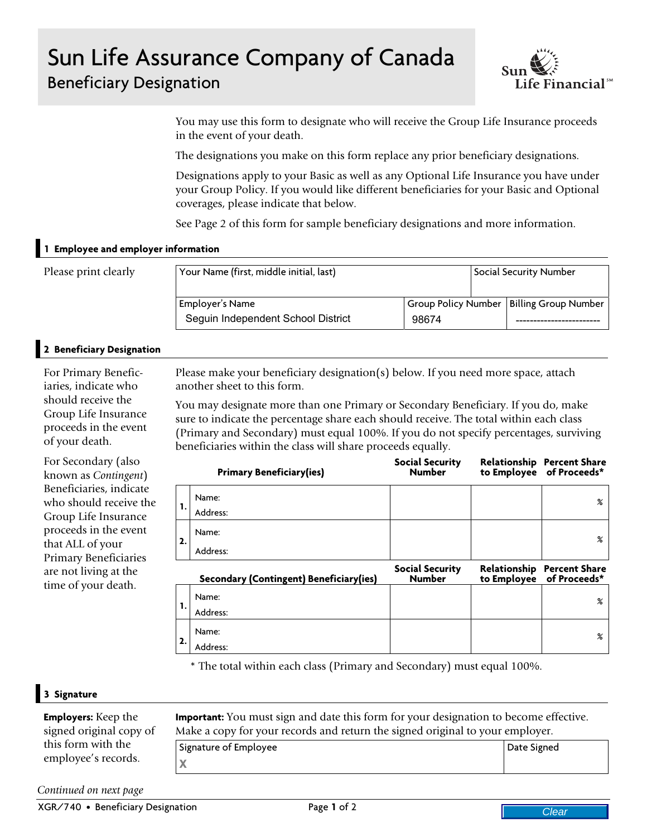## Sun Life Assurance Company of Canada Beneficiary Designation



You may use this form to designate who will receive the Group Life Insurance proceeds in the event of your death.

The designations you make on this form replace any prior beneficiary designations.

Designations apply to your Basic as well as any Optional Life Insurance you have under your Group Policy. If you would like different beneficiaries for your Basic and Optional coverages, please indicate that below.

See Page 2 of this form for sample beneficiary designations and more information.

## **1 Employee and employer information**

| Please print clearly | Your Name (first, middle initial, last) |       |  | <b>Social Security Number</b>              |  |
|----------------------|-----------------------------------------|-------|--|--------------------------------------------|--|
|                      | Employer's Name                         |       |  | Group Policy Number   Billing Group Number |  |
|                      | Seguin Independent School District      | 98674 |  |                                            |  |

## **2 Beneficiary Designation**

For Primary Beneficiaries, indicate who should receive the Group Life Insurance proceeds in the event of your death.

For Secondary (also known as *Contingent*) Beneficiaries, indicate who should receive the Group Life Insurance proceeds in the event that ALL of your Primary Beneficiaries are not living at the time of your death.

|       | Seguin Independent School District                                                                                                                                                                                                                                                                                                  | 98674                                   |             |             |                                                   |
|-------|-------------------------------------------------------------------------------------------------------------------------------------------------------------------------------------------------------------------------------------------------------------------------------------------------------------------------------------|-----------------------------------------|-------------|-------------|---------------------------------------------------|
|       |                                                                                                                                                                                                                                                                                                                                     |                                         |             |             |                                                   |
|       | Please make your beneficiary designation(s) below. If you need more space, attach<br>another sheet to this form.                                                                                                                                                                                                                    |                                         |             |             |                                                   |
|       | You may designate more than one Primary or Secondary Beneficiary. If you do, make<br>sure to indicate the percentage share each should receive. The total within each class<br>(Primary and Secondary) must equal 100%. If you do not specify percentages, surviving<br>beneficiaries within the class will share proceeds equally. |                                         |             |             |                                                   |
|       | <b>Primary Beneficiary(ies)</b>                                                                                                                                                                                                                                                                                                     | <b>Social Security</b><br><b>Number</b> | to Employee |             | <b>Relationship Percent Share</b><br>of Proceeds* |
| 1.    | Name:<br>Address:                                                                                                                                                                                                                                                                                                                   |                                         |             |             | $\boldsymbol{\%}$                                 |
| 2.    | Name:<br>Address:                                                                                                                                                                                                                                                                                                                   |                                         |             |             | $\boldsymbol{\%}$                                 |
|       | Secondary (Contingent) Beneficiary(ies)                                                                                                                                                                                                                                                                                             | <b>Social Security</b><br><b>Number</b> | to Employee |             | Relationship Percent Share<br>of Proceeds*        |
| 1.    | Name:<br>Address:                                                                                                                                                                                                                                                                                                                   |                                         |             |             | $\%$                                              |
| 2.    | Name:<br>Address:                                                                                                                                                                                                                                                                                                                   |                                         |             |             | %                                                 |
|       | * The total within each class (Primary and Secondary) must equal 100%.                                                                                                                                                                                                                                                              |                                         |             |             |                                                   |
|       | <b>mportant:</b> You must sign and date this form for your designation to become effective.<br>Make a copy for your records and return the signed original to your employer.                                                                                                                                                        |                                         |             |             |                                                   |
|       | Signature of Employee                                                                                                                                                                                                                                                                                                               |                                         |             | Date Signed |                                                   |
| X     |                                                                                                                                                                                                                                                                                                                                     |                                         |             |             |                                                   |
| ıtion | Page 1 of 2                                                                                                                                                                                                                                                                                                                         |                                         |             |             | Clear                                             |
|       |                                                                                                                                                                                                                                                                                                                                     |                                         |             |             |                                                   |
|       |                                                                                                                                                                                                                                                                                                                                     |                                         |             |             |                                                   |

## **3 Signature**

**Employers:** Keep the signed original copy of this form with the employee's records.

Signature of Employee **X** Date Signed

*Continued on next page*